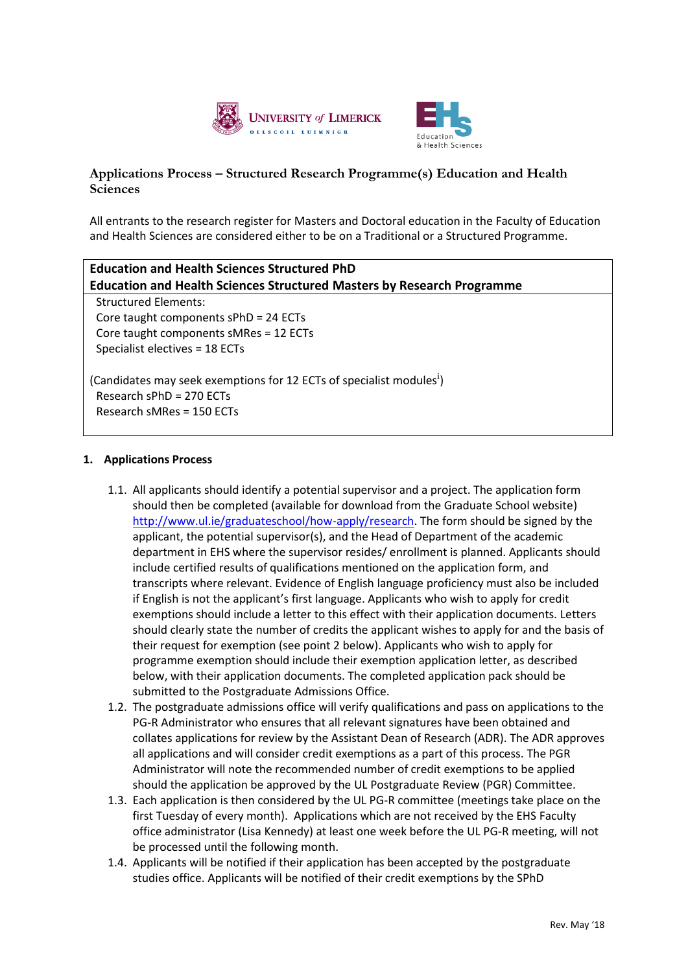



## **Applications Process – Structured Research Programme(s) Education and Health Sciences**

All entrants to the research register for Masters and Doctoral education in the Faculty of Education and Health Sciences are considered either to be on a Traditional or a Structured Programme.

| <b>Education and Health Sciences Structured PhD</b>                              |  |
|----------------------------------------------------------------------------------|--|
| <b>Education and Health Sciences Structured Masters by Research Programme</b>    |  |
| <b>Structured Elements:</b>                                                      |  |
| Core taught components sPhD = 24 ECTs                                            |  |
| Core taught components sMRes = 12 ECTs                                           |  |
| Specialist electives = 18 ECTs                                                   |  |
| (Candidates may seek exemptions for 12 ECTs of specialist modules <sup>1</sup> ) |  |
| Research sPhD = 270 ECTs                                                         |  |
| Research sMRes = 150 ECTs                                                        |  |

## **1. Applications Process**

- 1.1. All applicants should identify a potential supervisor and a project. The application form should then be completed (available for download from the Graduate School website) [http://www.ul.ie/graduateschool/how-apply/research.](http://www.ul.ie/graduateschool/how-apply/research) The form should be signed by the applicant, the potential supervisor(s), and the Head of Department of the academic department in EHS where the supervisor resides/ enrollment is planned. Applicants should include certified results of qualifications mentioned on the application form, and transcripts where relevant. Evidence of English language proficiency must also be included if English is not the applicant's first language. Applicants who wish to apply for credit exemptions should include a letter to this effect with their application documents. Letters should clearly state the number of credits the applicant wishes to apply for and the basis of their request for exemption (see point 2 below). Applicants who wish to apply for programme exemption should include their exemption application letter, as described below, with their application documents. The completed application pack should be submitted to the Postgraduate Admissions Office.
- 1.2. The postgraduate admissions office will verify qualifications and pass on applications to the PG-R Administrator who ensures that all relevant signatures have been obtained and collates applications for review by the Assistant Dean of Research (ADR). The ADR approves all applications and will consider credit exemptions as a part of this process. The PGR Administrator will note the recommended number of credit exemptions to be applied should the application be approved by the UL Postgraduate Review (PGR) Committee.
- 1.3. Each application is then considered by the UL PG-R committee (meetings take place on the first Tuesday of every month). Applications which are not received by the EHS Faculty office administrator (Lisa Kennedy) at least one week before the UL PG-R meeting, will not be processed until the following month.
- 1.4. Applicants will be notified if their application has been accepted by the postgraduate studies office. Applicants will be notified of their credit exemptions by the SPhD